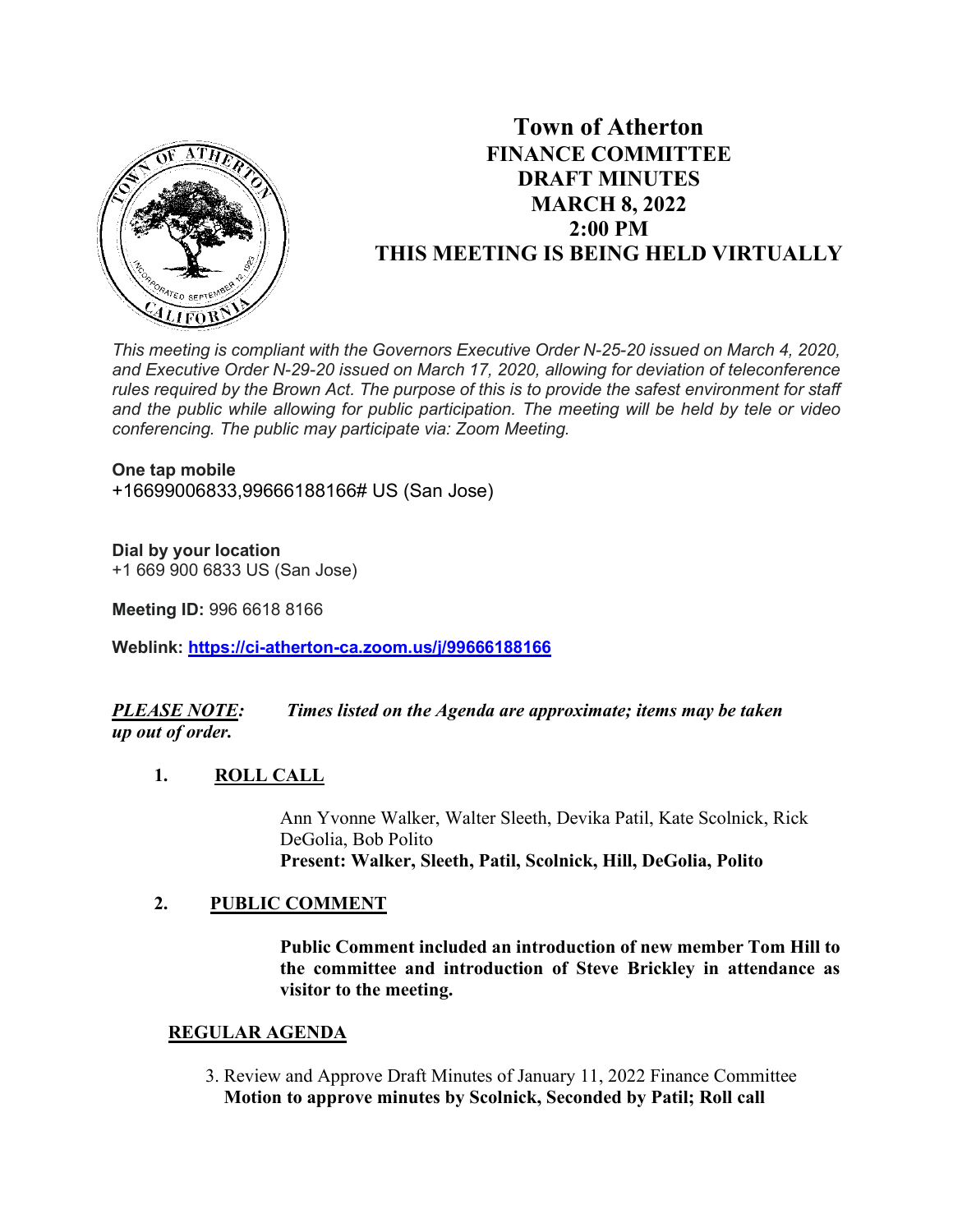

# **Town of Atherton FINANCE COMMITTEE DRAFT MINUTES MARCH 8, 2022 2:00 PM THIS MEETING IS BEING HELD VIRTUALLY**

*This meeting is compliant with the Governors Executive Order N-25-20 issued on March 4, 2020, and Executive Order N-29-20 issued on March 17, 2020, allowing for deviation of teleconference rules required by the Brown Act. The purpose of this is to provide the safest environment for staff and the public while allowing for public participation. The meeting will be held by tele or video conferencing. The public may participate via: Zoom Meeting.*

#### **One tap mobile**

+16699006833,99666188166# US (San Jose)

## **Dial by your location**

+1 669 900 6833 US (San Jose)

**Meeting ID:** 996 6618 8166

**Weblink: <https://ci-atherton-ca.zoom.us/j/99666188166>**

# *PLEASE NOTE: Times listed on the Agenda are approximate; items may be taken up out of order.*

## **1. ROLL CALL**

Ann Yvonne Walker, Walter Sleeth, Devika Patil, Kate Scolnick, Rick DeGolia, Bob Polito **Present: Walker, Sleeth, Patil, Scolnick, Hill, DeGolia, Polito**

# **2. PUBLIC COMMENT**

**Public Comment included an introduction of new member Tom Hill to the committee and introduction of Steve Brickley in attendance as visitor to the meeting.** 

## **REGULAR AGENDA**

 3. Review and Approve Draft Minutes of January 11, 2022 Finance Committee **Motion to approve minutes by Scolnick, Seconded by Patil; Roll call**